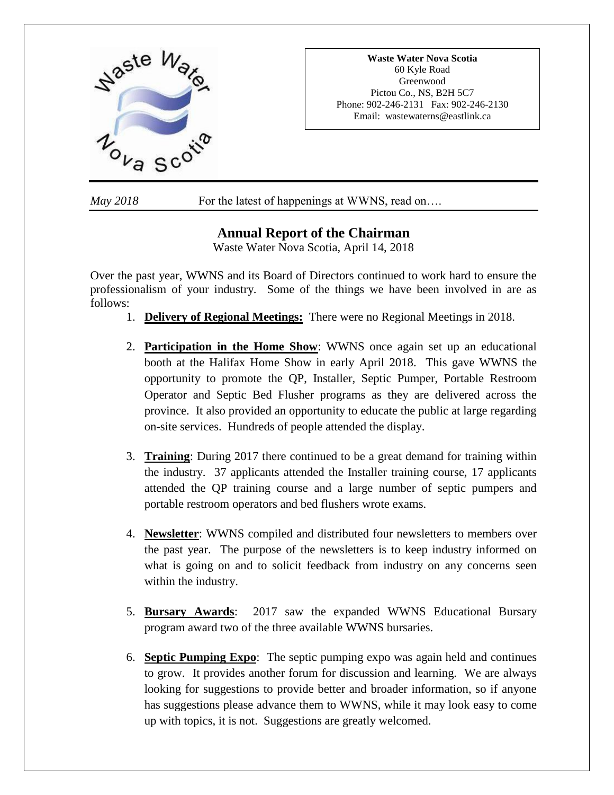

*May* 2018 For the latest of happenings at WWNS, read on....

# **Annual Report of the Chairman**

Waste Water Nova Scotia, April 14, 2018

Over the past year, WWNS and its Board of Directors continued to work hard to ensure the professionalism of your industry. Some of the things we have been involved in are as follows:

- 1. **Delivery of Regional Meetings:** There were no Regional Meetings in 2018.
- 2. **Participation in the Home Show**: WWNS once again set up an educational booth at the Halifax Home Show in early April 2018. This gave WWNS the opportunity to promote the QP, Installer, Septic Pumper, Portable Restroom Operator and Septic Bed Flusher programs as they are delivered across the province. It also provided an opportunity to educate the public at large regarding on-site services. Hundreds of people attended the display.
- 3. **Training**: During 2017 there continued to be a great demand for training within the industry. 37 applicants attended the Installer training course, 17 applicants attended the QP training course and a large number of septic pumpers and portable restroom operators and bed flushers wrote exams.
- 4. **Newsletter**: WWNS compiled and distributed four newsletters to members over the past year. The purpose of the newsletters is to keep industry informed on what is going on and to solicit feedback from industry on any concerns seen within the industry.
- 5. **Bursary Awards**: 2017 saw the expanded WWNS Educational Bursary program award two of the three available WWNS bursaries.
- 6. **Septic Pumping Expo**: The septic pumping expo was again held and continues to grow. It provides another forum for discussion and learning. We are always looking for suggestions to provide better and broader information, so if anyone has suggestions please advance them to WWNS, while it may look easy to come up with topics, it is not. Suggestions are greatly welcomed.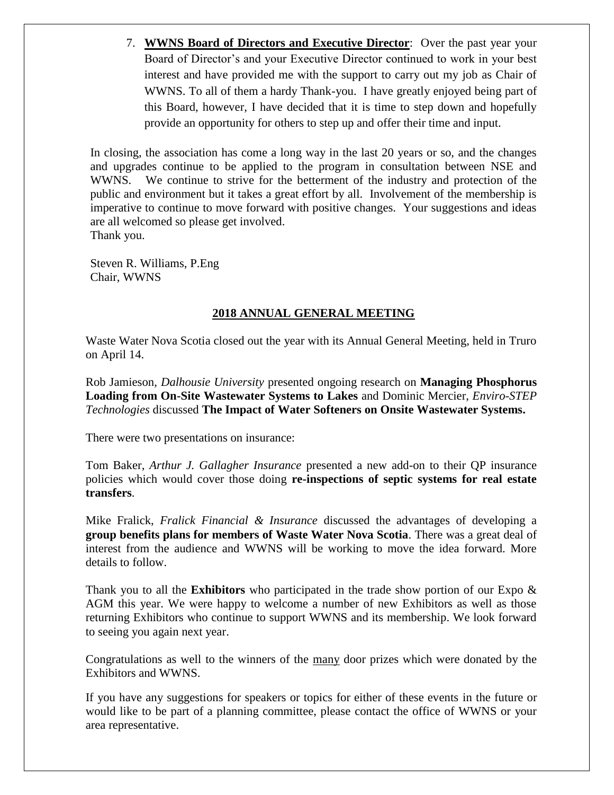7. **WWNS Board of Directors and Executive Director**: Over the past year your Board of Director's and your Executive Director continued to work in your best interest and have provided me with the support to carry out my job as Chair of WWNS. To all of them a hardy Thank-you. I have greatly enjoyed being part of this Board, however, I have decided that it is time to step down and hopefully provide an opportunity for others to step up and offer their time and input.

In closing, the association has come a long way in the last 20 years or so, and the changes and upgrades continue to be applied to the program in consultation between NSE and WWNS. We continue to strive for the betterment of the industry and protection of the public and environment but it takes a great effort by all. Involvement of the membership is imperative to continue to move forward with positive changes. Your suggestions and ideas are all welcomed so please get involved. Thank you.

Steven R. Williams, P.Eng Chair, WWNS

# **2018 ANNUAL GENERAL MEETING**

Waste Water Nova Scotia closed out the year with its Annual General Meeting, held in Truro on April 14.

Rob Jamieson, *Dalhousie University* presented ongoing research on **Managing Phosphorus Loading from On-Site Wastewater Systems to Lakes** and Dominic Mercier, *Enviro-STEP Technologies* discussed **The Impact of Water Softeners on Onsite Wastewater Systems.**

There were two presentations on insurance:

Tom Baker, *Arthur J. Gallagher Insurance* presented a new add-on to their QP insurance policies which would cover those doing **re-inspections of septic systems for real estate transfers**.

Mike Fralick, *Fralick Financial & Insurance* discussed the advantages of developing a **group benefits plans for members of Waste Water Nova Scotia**. There was a great deal of interest from the audience and WWNS will be working to move the idea forward. More details to follow.

Thank you to all the **Exhibitors** who participated in the trade show portion of our Expo & AGM this year. We were happy to welcome a number of new Exhibitors as well as those returning Exhibitors who continue to support WWNS and its membership. We look forward to seeing you again next year.

Congratulations as well to the winners of the many door prizes which were donated by the Exhibitors and WWNS.

If you have any suggestions for speakers or topics for either of these events in the future or would like to be part of a planning committee, please contact the office of WWNS or your area representative.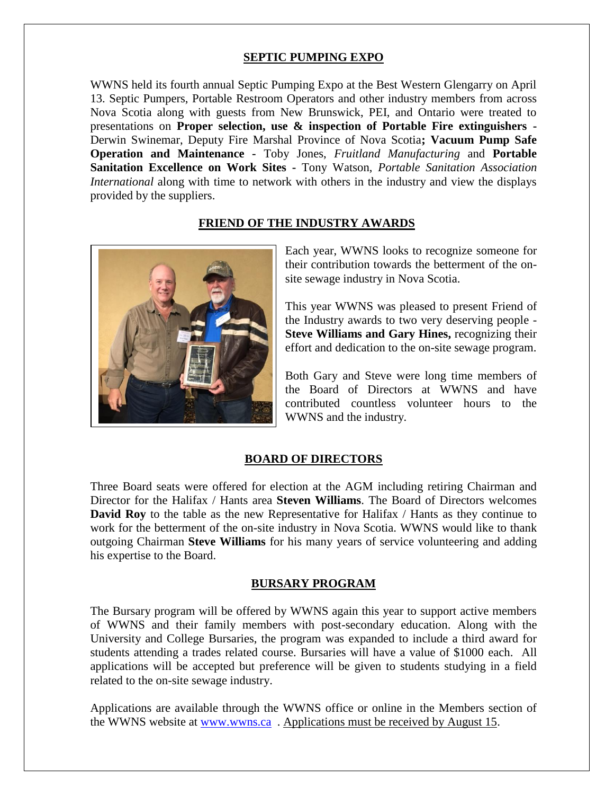# **SEPTIC PUMPING EXPO**

WWNS held its fourth annual Septic Pumping Expo at the Best Western Glengarry on April 13. Septic Pumpers, Portable Restroom Operators and other industry members from across Nova Scotia along with guests from New Brunswick, PEI, and Ontario were treated to presentations on **Proper selection, use & inspection of Portable Fire extinguishers -** Derwin Swinemar, Deputy Fire Marshal Province of Nova Scotia**; Vacuum Pump Safe Operation and Maintenance -** Toby Jones, *Fruitland Manufacturing* and **Portable Sanitation Excellence on Work Sites -** Tony Watson, *Portable Sanitation Association International* along with time to network with others in the industry and view the displays provided by the suppliers.

## **FRIEND OF THE INDUSTRY AWARDS**



Each year, WWNS looks to recognize someone for their contribution towards the betterment of the onsite sewage industry in Nova Scotia.

This year WWNS was pleased to present Friend of the Industry awards to two very deserving people - **Steve Williams and Gary Hines,** recognizing their effort and dedication to the on-site sewage program.

Both Gary and Steve were long time members of the Board of Directors at WWNS and have contributed countless volunteer hours to the WWNS and the industry.

#### **BOARD OF DIRECTORS**

Three Board seats were offered for election at the AGM including retiring Chairman and Director for the Halifax / Hants area **Steven Williams**. The Board of Directors welcomes **David Roy** to the table as the new Representative for Halifax / Hants as they continue to work for the betterment of the on-site industry in Nova Scotia. WWNS would like to thank outgoing Chairman **Steve Williams** for his many years of service volunteering and adding his expertise to the Board.

## **BURSARY PROGRAM**

The Bursary program will be offered by WWNS again this year to support active members of WWNS and their family members with post-secondary education. Along with the University and College Bursaries, the program was expanded to include a third award for students attending a trades related course. Bursaries will have a value of \$1000 each. All applications will be accepted but preference will be given to students studying in a field related to the on-site sewage industry.

Applications are available through the WWNS office or online in the Members section of the WWNS website at [www.wwns.ca](http://www.wwns.ca/) . Applications must be received by August 15.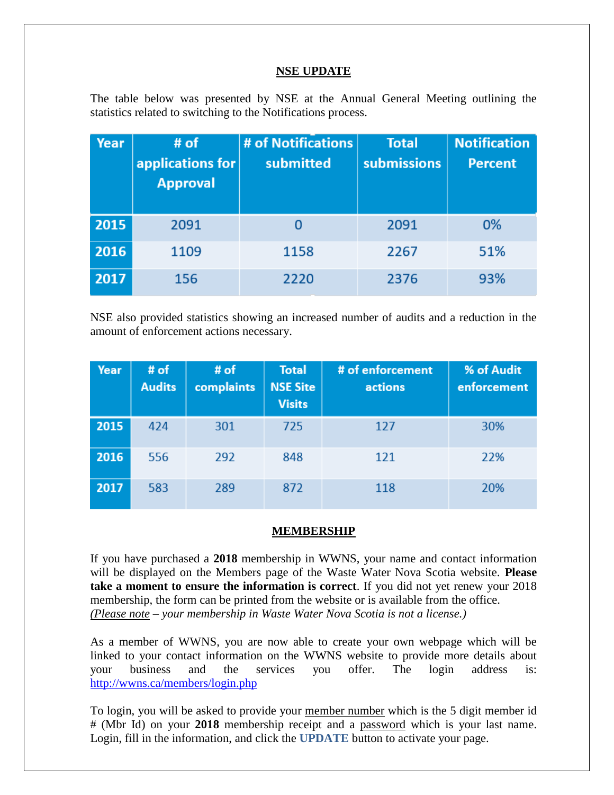## **NSE UPDATE**

The table below was presented by NSE at the Annual General Meeting outlining the statistics related to switching to the Notifications process.

| Year | # of<br>applications for<br><b>Approval</b> | # of Notifications<br>submitted | <b>Total</b><br>submissions | <b>Notification</b><br><b>Percent</b> |
|------|---------------------------------------------|---------------------------------|-----------------------------|---------------------------------------|
| 2015 | 2091                                        | O                               | 2091                        | 0%                                    |
| 2016 | 1109                                        | 1158                            | 2267                        | 51%                                   |
| 2017 | 156                                         | 2220                            | 2376                        | 93%                                   |

NSE also provided statistics showing an increased number of audits and a reduction in the amount of enforcement actions necessary.

| Year | # of<br><b>Audits</b> | # of<br>complaints | <b>Total</b><br><b>NSE Site</b><br><b>Visits</b> | # of enforcement<br>actions | % of Audit<br>enforcement |
|------|-----------------------|--------------------|--------------------------------------------------|-----------------------------|---------------------------|
| 2015 | 424                   | 301                | 725                                              | 127                         | 30%                       |
| 2016 | 556                   | 292                | 848                                              | 121                         | 22%                       |
| 2017 | 583                   | 289                | 872                                              | 118                         | 20%                       |

## **MEMBERSHIP**

If you have purchased a **2018** membership in WWNS, your name and contact information will be displayed on the Members page of the Waste Water Nova Scotia website. **Please take a moment to ensure the information is correct**. If you did not yet renew your 2018 membership, the form can be printed from the website or is available from the office. *(Please note – your membership in Waste Water Nova Scotia is not a license.)*

As a member of WWNS, you are now able to create your own webpage which will be linked to your contact information on the WWNS website to provide more details about your business and the services you offer. The login address is: <http://wwns.ca/members/login.php>

To login, you will be asked to provide your member number which is the 5 digit member id # (Mbr Id) on your **2018** membership receipt and a password which is your last name. Login, fill in the information, and click the **UPDATE** button to activate your page.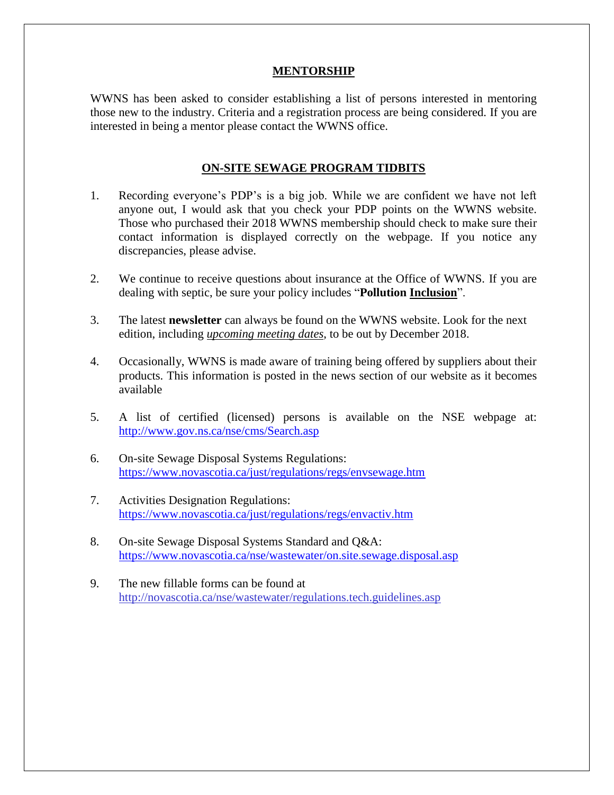### **MENTORSHIP**

WWNS has been asked to consider establishing a list of persons interested in mentoring those new to the industry. Criteria and a registration process are being considered. If you are interested in being a mentor please contact the WWNS office.

#### **ON-SITE SEWAGE PROGRAM TIDBITS**

- 1. Recording everyone's PDP's is a big job. While we are confident we have not left anyone out, I would ask that you check your PDP points on the WWNS website. Those who purchased their 2018 WWNS membership should check to make sure their contact information is displayed correctly on the webpage. If you notice any discrepancies, please advise.
- 2. We continue to receive questions about insurance at the Office of WWNS. If you are dealing with septic, be sure your policy includes "**Pollution Inclusion**".
- 3. The latest **newsletter** can always be found on the WWNS website. Look for the next edition, including *upcoming meeting dates*, to be out by December 2018.
- 4. Occasionally, WWNS is made aware of training being offered by suppliers about their products. This information is posted in the news section of our website as it becomes available
- 5. A list of certified (licensed) persons is available on the NSE webpage at: <http://www.gov.ns.ca/nse/cms/Search.asp>
- 6. On-site Sewage Disposal Systems Regulations: <https://www.novascotia.ca/just/regulations/regs/envsewage.htm>
- 7. Activities Designation Regulations: <https://www.novascotia.ca/just/regulations/regs/envactiv.htm>
- 8. On-site Sewage Disposal Systems Standard and Q&A: <https://www.novascotia.ca/nse/wastewater/on.site.sewage.disposal.asp>
- 9. The new fillable forms can be found at <http://novascotia.ca/nse/wastewater/regulations.tech.guidelines.asp>